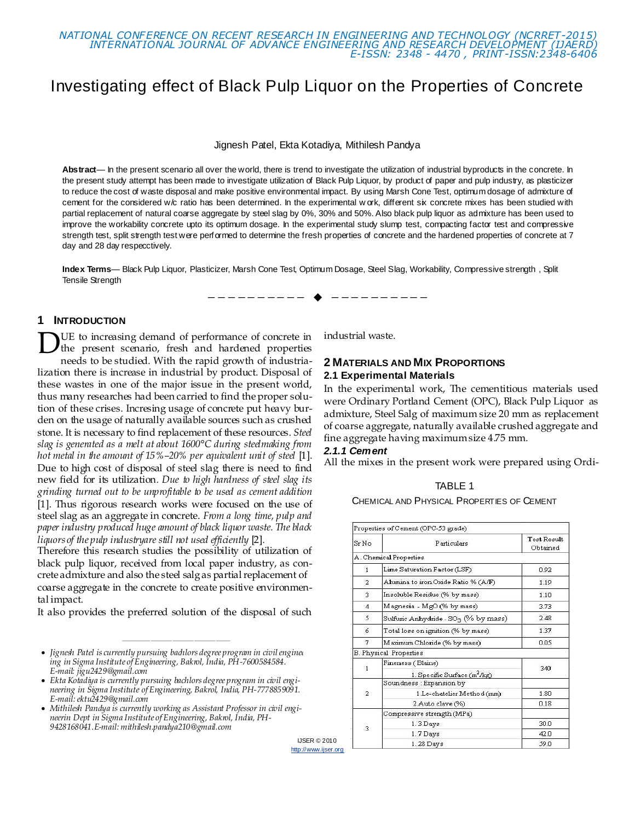

# Investigating effect of Black Pulp Liquor on the Properties of Concrete

Jignesh Patel, Ekta Kotadiya, Mithilesh Pandya

Abstract— In the present scenario all over the world, there is trend to investigate the utilization of industrial byproducts in the concrete. In the present study attempt has been made to investigate utilization of Black Pulp Liquor, by product of paper and pulp industry, as plasticizer to reduce the cost of waste disposal and make positive environmental impact. By using Marsh Cone Test, optimum dosage of admixture of cement for the considered w/c ratio has been determined. In the experimental w ork, different six concrete mixes has been studied with partial replacement of natural coarse aggregate by steel slag by 0%, 30% and 50%. Also black pulp liquor as admixture has been used to improve the workability concrete upto its optimum dosage. In the experimental study slump test, compacting factor test and compressive strength test, split strength test were performed to determine the fresh properties of concrete and the hardened properties of concrete at 7 day and 28 day respecctively.

**Index Terms**— Black Pulp Liquor, Plasticizer, Marsh Cone Test, Optimum Dosage, Steel Slag, Workability, Compressive strength , Split Tensile Strength

—————————— ——————————

#### **1 INTRODUCTION**

UE to increasing demand of performance of concrete in the present scenario, fresh and hardened properties needs to be studied. With the rapid growth of industrialization there is increase in industrial by product. Disposal of these wastes in one of the major issue in the present world, thus many researches had been carried to find the proper solution of these crises. Incresing usage of concrete put heavy burden on the usage of naturally available sources such as crushed stone. It is necessary to find replacement of these resources. *Steel slag is generated as a melt at about 1600°C during steelmaking from hot metal in the amount of 15%–20% per equivalent unit of steel* [1]. Due to high cost of disposal of steel slag there is need to find new field for its utilization*. Due to high hardness of steel slag its grinding turned out to be unprofitable to be used as cement addition* [1]. Thus rigorous research works were focused on the use of steel slag as an aggregate in concrete. *From a long time, pulp and paper industry produced huge amount of black liquor waste. The black liquors of the pulp industryare still not used efficiently* [2]. D

Therefore this research studies the possibility of utilization of black pulp liquor, received from local paper industry, as concrete admixture and also the steel salg as partial replacement of coarse aggregate in the concrete to create positive environmental impact.

It also provides the preferred solution of the disposal of such

———————————————

IJSER © 2010 http://www.ijser.org

industrial waste.

## **2 MATERIALS AND MIX PROPORTIONS 2.1 Experimental Materials**

In the experimental work, The cementitious materials used were Ordinary Portland Cement (OPC), Black Pulp Liquor as admixture, Steel Salg of maximum size 20 mm as replacement of coarse aggregate, naturally available crushed aggregate and fine aggregate having maximum size 4.75 mm.

#### *2.1.1 Cement*

All the mixes in the present work were prepared using Ordi-

| ı<br>٠Е |  |
|---------|--|
|---------|--|

CHEMICAL AND PHYSICAL PROPERTIES OF CEMENT

|                | Properties of Cement (OPC-53 grade)                           |                         |  |
|----------------|---------------------------------------------------------------|-------------------------|--|
| $Sr$ No        | Particulars                                                   | Test Result<br>Ohtained |  |
|                | A. Chemical Properties                                        |                         |  |
| 1              | Lime Saturation Factor (LSF)                                  | 0.92                    |  |
| 2              | Alumina to iron Oxide Ratio % (A/F)                           | 1.19                    |  |
| 3              | Insoluble Residue (% by mass)                                 | 1.10                    |  |
| $\overline{4}$ | Magnesia - MgO (% by mass)                                    | 3.73                    |  |
| 5              | Sulfuric Anhydride - SO <sub>3</sub> (% by mass)              | 2.48                    |  |
| ñ              | Total loss on ignition (% by mass)                            | 1.37                    |  |
| 7              | Maximum Chloride (% by mass).                                 | 0.05                    |  |
|                | <b>B. Physical Properties</b>                                 |                         |  |
| 1              | Fineness (Blaine)<br>1. Specific Surface (m <sup>2</sup> /kg) | 340                     |  |
|                | Soundness : Expansion by                                      |                         |  |
| $\overline{2}$ | 1.Le-chatelier Method (mm)                                    | 1.80                    |  |
|                | 2.Auto clave (%)                                              | 0.18                    |  |
|                | Compressive strength (MPa)                                    |                         |  |
| 3              | 1.3 Days                                                      | 30.0                    |  |
|                | 1.7 Days                                                      | 42.0                    |  |
|                | 1.28 Days                                                     | 59.0                    |  |

<sup>•</sup> Jignesh Patel is currently pursuing badilors degree program in civil enginee *ing in Sigma Institute of Engineering, Bakrol, India, PH-7600584584. E-mail: jigu2429@gmail.com*

*Ekta Kotadiya is currently pursuing bachlors degree program in civil engi*neering in Sigma Institute of Engineering, Bakrol, India, PH-7778859091. *E-mail[: ektu2429@gmail.com](mailto:ektu2429@gmail.com)*

*Mithilesh Pandya is currently working as Assistant Professor in civil engineerin Dept in Sigma Institute of Engineering, Bakrol, India, PH-9428168041.E-mail: mithilesh.pandya210@gmail.com*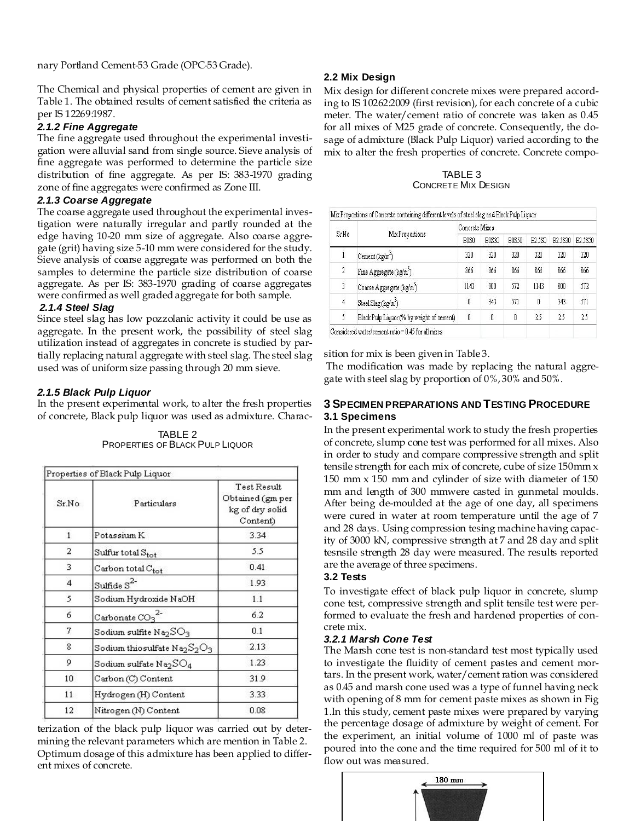nary Portland Cement-53 Grade (OPC-53 Grade).

The Chemical and physical properties of cement are given in Table 1. The obtained results of cement satisfied the criteria as per IS 12269:1987.

#### *2.1.2 Fine Aggregate*

The fine aggregate used throughout the experimental investigation were alluvial sand from single source. Sieve analysis of fine aggregate was performed to determine the particle size distribution of fine aggregate. As per IS: 383-1970 grading zone of fine aggregates were confirmed as Zone III.

### *2.1.3 Coarse Aggregate*

The coarse aggregate used throughout the experimental investigation were naturally irregular and partly rounded at the edge having 10-20 mm size of aggregate. Also coarse aggregate (grit) having size 5-10 mm were considered for the study. Sieve analysis of coarse aggregate was performed on both the samples to determine the particle size distribution of coarse aggregate. As per IS: 383-1970 grading of coarse aggregates were confirmed as well graded aggregate for both sample.

#### *2.1.4 Steel Slag*

Since steel slag has low pozzolanic activity it could be use as aggregate. In the present work, the possibility of steel slag utilization instead of aggregates in concrete is studied by partially replacing natural aggregate with steel slag. The steel slag used was of uniform size passing through 20 mm sieve.

### *2.1.5 Black Pulp Liquor*

In the present experimental work, to alter the fresh properties of concrete, Black pulp liquor was used as admixture. Charac-

TABLE 2 PROPERTIES OF BLACK PULP LIQUOR

|              | Properties of Black Pulp Liquor                      |                                                                |  |
|--------------|------------------------------------------------------|----------------------------------------------------------------|--|
| Sr.No        | Particulars                                          | Test Result<br>Obtained (gm per<br>kg of dry solid<br>Content) |  |
| $\mathbf{1}$ | Potassium K                                          | 3.34                                                           |  |
| 2            | Sulfur total Stot                                    | 5.5                                                            |  |
| 3            | $\emph{Carbon total } C_{\small\textrm{tot}}$        | 0.41                                                           |  |
| 4            | Sulfide $S^2$                                        | 1.93                                                           |  |
| 5            | Sodium Hydroxide NaOH                                | 1.1                                                            |  |
| 6            | Carbonate CO3                                        | 6.2                                                            |  |
| 7            | Sodium sulfite $\rm Na_2SO_3$                        | 0.1                                                            |  |
| 8            | Sodium thiosulfate $\text{Na}_2\text{S}_2\text{O}_3$ | 2.13                                                           |  |
| 9            | Sodium sulfate $\rm Na_2SO_4$                        | 1.23                                                           |  |
| 10           | Carbon (C) Content                                   | 31.9                                                           |  |
| 11           | Hydrogen (H) Content                                 | 3.33                                                           |  |
| 12           | Nitrogen (N) Content                                 | 0.08                                                           |  |

terization of the black pulp liquor was carried out by determining the relevant parameters which are mention in Table 2. Optimum dosage of this admixture has been applied to different mixes of concrete.

## **2.2 Mix Design**

Mix design for different concrete mixes were prepared according to IS 10262:2009 (first revision), for each concrete of a cubic meter. The water/cement ratio of concrete was taken as 0.45 for all mixes of M25 grade of concrete. Consequently, the dosage of admixture (Black Pulp Liquor) varied according to the mix to alter the fresh properties of concrete. Concrete compo-

TABLE 3 CONCRETE MIX DESIGN

|                         | Mix Proportions                           | Concrete Mixes                |              |              |                     |                      |         |
|-------------------------|-------------------------------------------|-------------------------------|--------------|--------------|---------------------|----------------------|---------|
| Sr No                   |                                           | B <sub>0</sub> S <sub>0</sub> | <b>B0S30</b> | <b>B0S50</b> | B <sub>2.5</sub> S0 | B <sub>2</sub> .5S30 | B2.5S50 |
|                         | Cement $(kg/m3)$                          | 320                           | 320          | 320          | 320                 | 320                  | 320     |
| $\overline{2}$          | Fine Aggregate $(kg/m3)$                  | 866                           | 866          | 866          | 866                 | 866                  | 866     |
| $\overline{\mathbf{3}}$ | Coarse Aggregate (kg/m <sup>3</sup> )     | 1143                          | 800          | 572          | 1143                | 800                  | 572     |
| $\overline{4}$          | Steel Slag (kg/m <sup>3</sup> )           | 0                             | 343          | 571          | Ũ                   | 343                  | 571     |
| 5                       | Black Pulp Liquor (% by weight of cement) | 0                             | 0            | 0            | 25                  | 25                   | 25      |

sition for mix is been given in Table 3.

The modification was made by replacing the natural aggregate with steel slag by proportion of 0%, 30% and 50%.

## **3 SPECIMEN PREPARATIONS AND TESTING PROCEDURE 3.1 Specimens**

In the present experimental work to study the fresh properties of concrete, slump cone test was performed for all mixes. Also in order to study and compare compressive strength and split tensile strength for each mix of concrete, cube of size 150mm x 150 mm x 150 mm and cylinder of size with diameter of 150 mm and length of 300 mmwere casted in gunmetal moulds. After being de-moulded at the age of one day, all specimens were cured in water at room temperature until the age of 7 and 28 days. Using compression tesing machine having capacity of 3000 kN, compressive strength at 7 and 28 day and split tesnsile strength 28 day were measured. The results reported are the average of three specimens.

### **3.2 Tests**

To investigate effect of black pulp liquor in concrete, slump cone test, compressive strength and split tensile test were performed to evaluate the fresh and hardened properties of concrete mix.

### *3.2.1 Marsh Cone Test*

The Marsh cone test is non-standard test most typically used to investigate the fluidity of cement pastes and cement mortars. In the present work, water/cement ration was considered as 0.45 and marsh cone used was a type of funnel having neck with opening of 8 mm for cement paste mixes as shown in Fig 1.In this study, cement paste mixes were prepared by varying the percentage dosage of admixture by weight of cement. For the experiment, an initial volume of 1000 ml of paste was poured into the cone and the time required for 500 ml of it to flow out was measured.

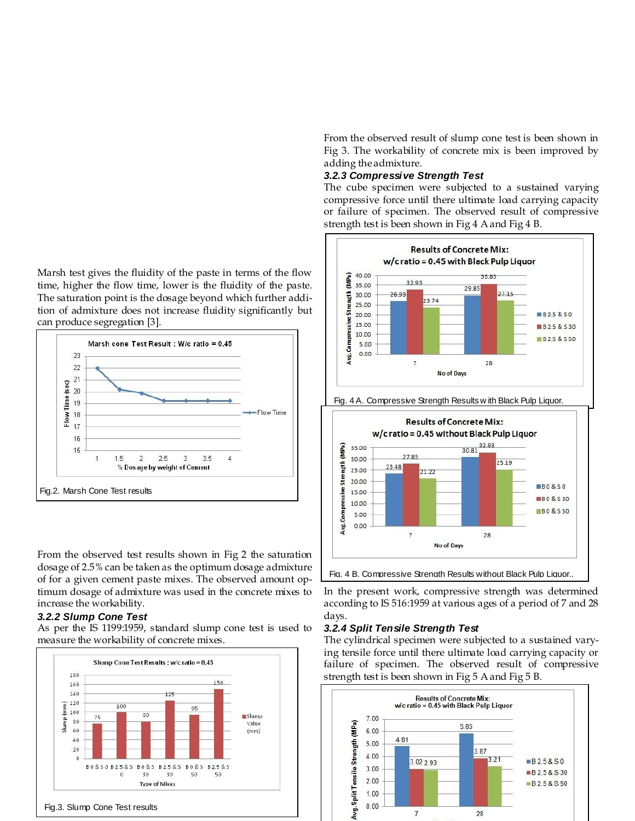Marsh test gives the fluidity of the paste in terms of the flow time, higher the flow time, lower is the fluidity of the paste. The saturation point is the dosage beyond which further addition of admixture does not increase fluidity significantly but can produce segregation [3].



From the observed test results shown in Fig 2 the saturation dosage of 2.5% can be taken as the optimum dosage admixture of for a given cement paste mixes. The observed amount optimum dosage of admixture was used in the concrete mixes to increase the workability.

#### *3.2.2 Slump Cone Test*

As per the IS 1199:1959, standard slump cone test is used to measure the workability of concrete mixes.



From the observed result of slump cone test is been shown in Fig 3. The workability of concrete mix is been improved by adding the admixture.

#### *3.2.3 Compressive Strength Test*

The cube specimen were subjected to a sustained varying compressive force until there ultimate load carrying capacity or failure of specimen. The observed result of compressive strength test is been shown in Fig 4 A and Fig 4 B.



In the present work, compressive strength was determined according to IS 516:1959 at various ages of a period of 7 and 28 days.

#### *3.2.4 Split Tensile Strength Test*

The cylindrical specimen were subjected to a sustained varying tensile force until there ultimate load carrying capacity or failure of specimen. The observed result of compressive strength test is been shown in Fig 5 A and Fig 5 B.

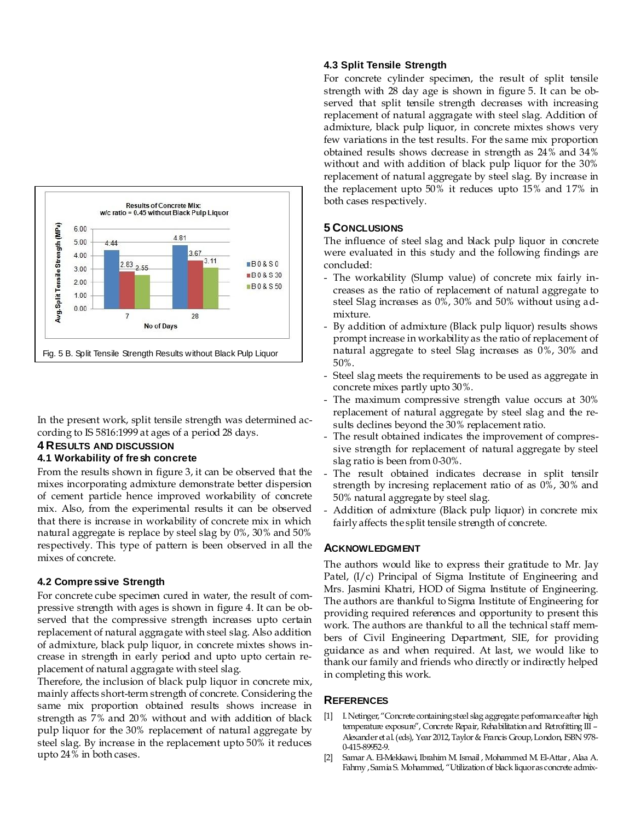

In the present work, split tensile strength was determined according to IS 5816:1999 at ages of a period 28 days.

## **4 RESULTS AND DISCUSSION**

### **4.1 Workability of fresh concrete**

From the results shown in figure 3, it can be observed that the mixes incorporating admixture demonstrate better dispersion of cement particle hence improved workability of concrete mix. Also, from the experimental results it can be observed that there is increase in workability of concrete mix in which natural aggregate is replace by steel slag by 0%, 30% and 50% respectively. This type of pattern is been observed in all the mixes of concrete.

### **4.2 Compressive Strength**

For concrete cube specimen cured in water, the result of compressive strength with ages is shown in figure 4. It can be observed that the compressive strength increases upto certain replacement of natural aggragate with steel slag. Also addition of admixture, black pulp liquor, in concrete mixtes shows increase in strength in early period and upto upto certain replacement of natural aggragate with steel slag.

Therefore, the inclusion of black pulp liquor in concrete mix, mainly affects short-term strength of concrete. Considering the same mix proportion obtained results shows increase in strength as 7% and 20% without and with addition of black pulp liquor for the 30% replacement of natural aggregate by steel slag. By increase in the replacement upto 50% it reduces upto 24% in both cases.

## **4.3 Split Tensile Strength**

For concrete cylinder specimen, the result of split tensile strength with 28 day age is shown in figure 5. It can be observed that split tensile strength decreases with increasing replacement of natural aggragate with steel slag. Addition of admixture, black pulp liquor, in concrete mixtes shows very few variations in the test results. For the same mix proportion obtained results shows decrease in strength as 24% and 34% without and with addition of black pulp liquor for the 30% replacement of natural aggregate by steel slag. By increase in the replacement upto 50% it reduces upto 15% and 17% in both cases respectively.

## **5 CONCLUSIONS**

The influence of steel slag and black pulp liquor in concrete were evaluated in this study and the following findings are concluded:

- The workability (Slump value) of concrete mix fairly increases as the ratio of replacement of natural aggregate to steel Slag increases as 0%, 30% and 50% without using admixture.
- By addition of admixture (Black pulp liquor) results shows prompt increase in workability as the ratio of replacement of natural aggregate to steel Slag increases as 0%, 30% and 50%.
- Steel slag meets the requirements to be used as aggregate in concrete mixes partly upto 30%.
- The maximum compressive strength value occurs at 30% replacement of natural aggregate by steel slag and the results declines beyond the 30% replacement ratio.
- The result obtained indicates the improvement of compressive strength for replacement of natural aggregate by steel slag ratio is been from 0-30%.
- The result obtained indicates decrease in split tensilr strength by incresing replacement ratio of as 0%, 30% and 50% natural aggregate by steel slag.
- Addition of admixture (Black pulp liquor) in concrete mix fairly affects the split tensile strength of concrete.

### **ACKNOWLEDGMENT**

The authors would like to express their gratitude to Mr. Jay Patel, (I/c) Principal of Sigma Institute of Engineering and Mrs. Jasmini Khatri, HOD of Sigma Institute of Engineering. The authors are thankful to Sigma Institute of Engineering for providing required references and opportunity to present this work. The authors are thankful to all the technical staff members of Civil Engineering Department, SIE, for providing guidance as and when required. At last, we would like to thank our family and friends who directly or indirectly helped in completing this work.

## **REFERENCES**

- [1] I. Netinger, "Concrete containing steel slag aggregate: performance after high temperature exposure", Concrete Repair, Rehabilitation and Retrofitting III -Alexander et al. (eds), Year 2012, Taylor & Francis Group, London, ISBN 978- 0-415-89952-9.
- [2] Samar A. El-Mekkawi, Ibrahim M. Ismail , Mohammed M. El-Attar , Alaa A. Fahmy , Samia S. Mohammed, "Utilization of black liquor as concrete admix-